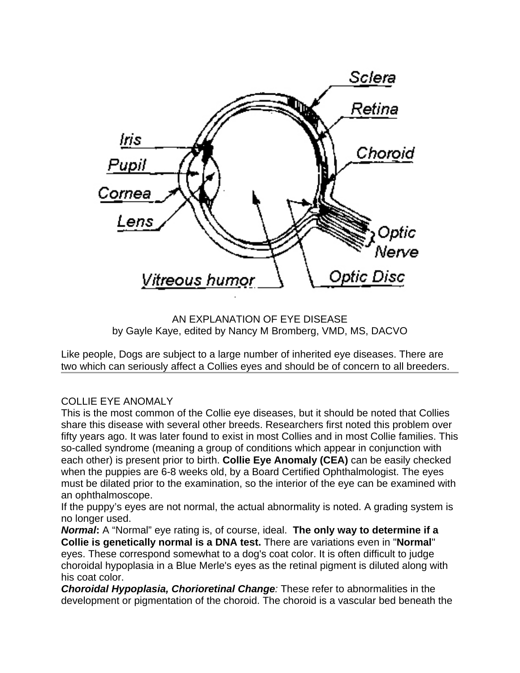

AN EXPLANATION OF EYE DISEASE by Gayle Kaye, edited by Nancy M Bromberg, VMD, MS, DACVO

Like people, Dogs are subject to a large number of inherited eye diseases. There are two which can seriously affect a Collies eyes and should be of concern to all breeders.

## COLLIE EYE ANOMALY

This is the most common of the Collie eye diseases, but it should be noted that Collies share this disease with several other breeds. Researchers first noted this problem over fifty years ago. It was later found to exist in most Collies and in most Collie families. This so-called syndrome (meaning a group of conditions which appear in conjunction with each other) is present prior to birth. **Collie Eye Anomaly (CEA)** can be easily checked when the puppies are 6-8 weeks old, by a Board Certified Ophthalmologist. The eyes must be dilated prior to the examination, so the interior of the eye can be examined with an ophthalmoscope.

If the puppy's eyes are not normal, the actual abnormality is noted. A grading system is no longer used.

*Normal***:** A "Normal" eye rating is, of course, ideal. **The only way to determine if a Collie is genetically normal is a DNA test.** There are variations even in "**Normal**" eyes. These correspond somewhat to a dog's coat color. It is often difficult to judge choroidal hypoplasia in a Blue Merle's eyes as the retinal pigment is diluted along with his coat color.

*Choroidal Hypoplasia, Chorioretinal Change:* These refer to abnormalities in the development or pigmentation of the choroid. The choroid is a vascular bed beneath the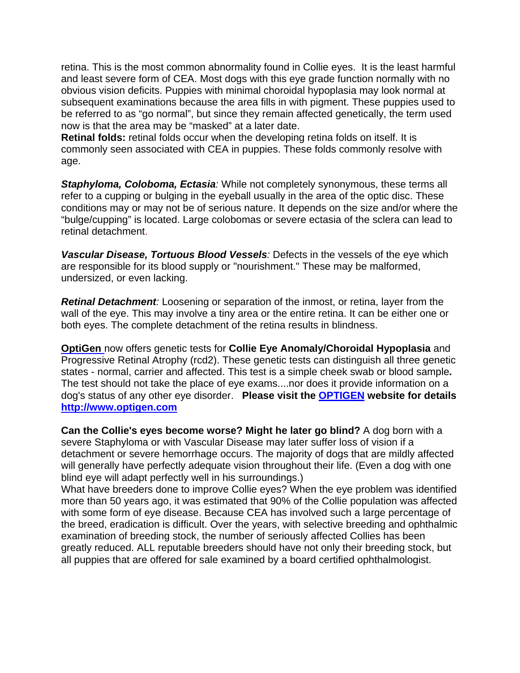retina. This is the most common abnormality found in Collie eyes. It is the least harmful and least severe form of CEA. Most dogs with this eye grade function normally with no obvious vision deficits. Puppies with minimal choroidal hypoplasia may look normal at subsequent examinations because the area fills in with pigment. These puppies used to be referred to as "go normal", but since they remain affected genetically, the term used now is that the area may be "masked" at a later date.

**Retinal folds:** retinal folds occur when the developing retina folds on itself. It is commonly seen associated with CEA in puppies. These folds commonly resolve with age.

**Staphyloma, Coloboma, Ectasia**: While not completely synonymous, these terms all refer to a cupping or bulging in the eyeball usually in the area of the optic disc. These conditions may or may not be of serious nature. It depends on the size and/or where the "bulge/cupping" is located. Large colobomas or severe ectasia of the sclera can lead to retinal detachment.

*Vascular Disease, Tortuous Blood Vessels:* Defects in the vessels of the eye which are responsible for its blood supply or "nourishment." These may be malformed, undersized, or even lacking.

*Retinal Detachment:* Loosening or separation of the inmost, or retina, layer from the wall of the eye. This may involve a tiny area or the entire retina. It can be either one or both eyes. The complete detachment of the retina results in blindness.

**OptiGen** now offers genetic tests for **Collie Eye Anomaly/Choroidal Hypoplasia** and Progressive Retinal Atrophy (rcd2). These genetic tests can distinguish all three genetic states - normal, carrier and affected. This test is a simple cheek swab or blood sample**.**  The test should not take the place of eye exams....nor does it provide information on a dog's status of any other eye disorder. **Please visit the OPTIGEN website for details http://www.optigen.com**

**Can the Collie's eyes become worse? Might he later go blind?** A dog born with a severe Staphyloma or with Vascular Disease may later suffer loss of vision if a detachment or severe hemorrhage occurs. The majority of dogs that are mildly affected will generally have perfectly adequate vision throughout their life. (Even a dog with one blind eye will adapt perfectly well in his surroundings.)

What have breeders done to improve Collie eyes? When the eye problem was identified more than 50 years ago, it was estimated that 90% of the Collie population was affected with some form of eye disease. Because CEA has involved such a large percentage of the breed, eradication is difficult. Over the years, with selective breeding and ophthalmic examination of breeding stock, the number of seriously affected Collies has been greatly reduced. ALL reputable breeders should have not only their breeding stock, but all puppies that are offered for sale examined by a board certified ophthalmologist.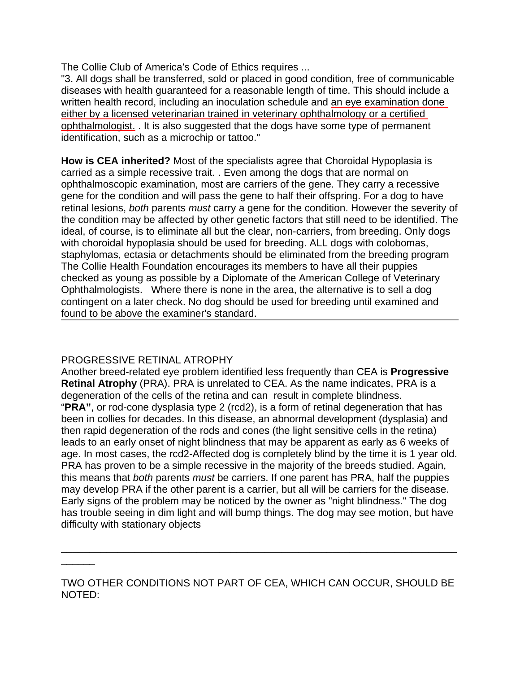The Collie Club of America's Code of Ethics requires ...

"3. All dogs shall be transferred, sold or placed in good condition, free of communicable diseases with health guaranteed for a reasonable length of time. This should include a written health record, including an inoculation schedule and an eye examination done either by a licensed veterinarian trained in veterinary ophthalmology or a certified ophthalmologist. . It is also suggested that the dogs have some type of permanent identification, such as a microchip or tattoo."

**How is CEA inherited?** Most of the specialists agree that Choroidal Hypoplasia is carried as a simple recessive trait. . Even among the dogs that are normal on ophthalmoscopic examination, most are carriers of the gene. They carry a recessive gene for the condition and will pass the gene to half their offspring. For a dog to have retinal lesions, *both* parents *must* carry a gene for the condition. However the severity of the condition may be affected by other genetic factors that still need to be identified. The ideal, of course, is to eliminate all but the clear, non-carriers, from breeding. Only dogs with choroidal hypoplasia should be used for breeding. ALL dogs with colobomas, staphylomas, ectasia or detachments should be eliminated from the breeding program The Collie Health Foundation encourages its members to have all their puppies checked as young as possible by a Diplomate of the American College of Veterinary Ophthalmologists. Where there is none in the area, the alternative is to sell a dog contingent on a later check. No dog should be used for breeding until examined and found to be above the examiner's standard.

## PROGRESSIVE RETINAL ATROPHY

 $\overline{\phantom{a}}$ 

Another breed-related eye problem identified less frequently than CEA is **Progressive Retinal Atrophy** (PRA). PRA is unrelated to CEA. As the name indicates, PRA is a degeneration of the cells of the retina and can result in complete blindness. "**PRA"**, or rod-cone dysplasia type 2 (rcd2), is a form of retinal degeneration that has been in collies for decades. In this disease, an abnormal development (dysplasia) and then rapid degeneration of the rods and cones (the light sensitive cells in the retina) leads to an early onset of night blindness that may be apparent as early as 6 weeks of age. In most cases, the rcd2-Affected dog is completely blind by the time it is 1 year old. PRA has proven to be a simple recessive in the majority of the breeds studied. Again, this means that *both* parents *must* be carriers. If one parent has PRA, half the puppies may develop PRA if the other parent is a carrier, but all will be carriers for the disease. Early signs of the problem may be noticed by the owner as "night blindness." The dog has trouble seeing in dim light and will bump things. The dog may see motion, but have difficulty with stationary objects

TWO OTHER CONDITIONS NOT PART OF CEA, WHICH CAN OCCUR, SHOULD BE NOTED:

\_\_\_\_\_\_\_\_\_\_\_\_\_\_\_\_\_\_\_\_\_\_\_\_\_\_\_\_\_\_\_\_\_\_\_\_\_\_\_\_\_\_\_\_\_\_\_\_\_\_\_\_\_\_\_\_\_\_\_\_\_\_\_\_\_\_\_\_\_\_